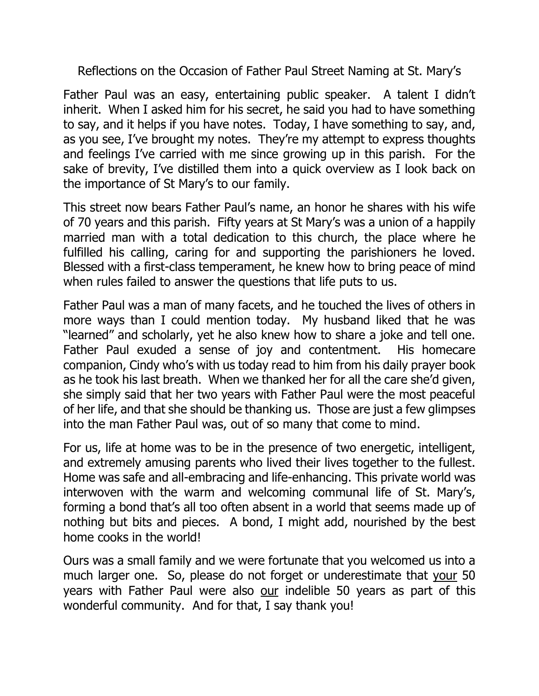Reflections on the Occasion of Father Paul Street Naming at St. Mary's

Father Paul was an easy, entertaining public speaker. A talent I didn't inherit. When I asked him for his secret, he said you had to have something to say, and it helps if you have notes. Today, I have something to say, and, as you see, I've brought my notes. They're my attempt to express thoughts and feelings I've carried with me since growing up in this parish. For the sake of brevity, I've distilled them into a quick overview as I look back on the importance of St Mary's to our family.

This street now bears Father Paul's name, an honor he shares with his wife of 70 years and this parish. Fifty years at St Mary's was a union of a happily married man with a total dedication to this church, the place where he fulfilled his calling, caring for and supporting the parishioners he loved. Blessed with a first-class temperament, he knew how to bring peace of mind when rules failed to answer the questions that life puts to us.

Father Paul was a man of many facets, and he touched the lives of others in more ways than I could mention today. My husband liked that he was "learned" and scholarly, yet he also knew how to share a joke and tell one. Father Paul exuded a sense of joy and contentment. His homecare companion, Cindy who's with us today read to him from his daily prayer book as he took his last breath. When we thanked her for all the care she'd given, she simply said that her two years with Father Paul were the most peaceful of her life, and that she should be thanking us. Those are just a few glimpses into the man Father Paul was, out of so many that come to mind.

For us, life at home was to be in the presence of two energetic, intelligent, and extremely amusing parents who lived their lives together to the fullest. Home was safe and all-embracing and life-enhancing. This private world was interwoven with the warm and welcoming communal life of St. Mary's, forming a bond that's all too often absent in a world that seems made up of nothing but bits and pieces. A bond, I might add, nourished by the best home cooks in the world!

Ours was a small family and we were fortunate that you welcomed us into a much larger one. So, please do not forget or underestimate that your 50 years with Father Paul were also our indelible 50 years as part of this wonderful community. And for that, I say thank you!